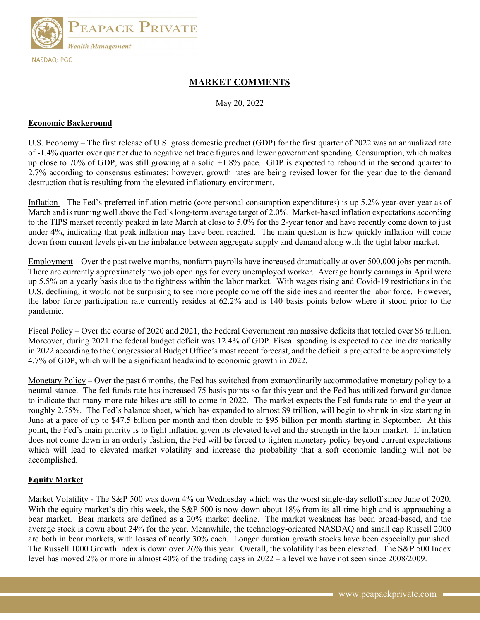

# MARKET COMMENTS

May 20, 2022

#### Economic Background

U.S. Economy – The first release of U.S. gross domestic product (GDP) for the first quarter of 2022 was an annualized rate of -1.4% quarter over quarter due to negative net trade figures and lower government spending. Consumption, which makes up close to 70% of GDP, was still growing at a solid  $+1.8\%$  pace. GDP is expected to rebound in the second quarter to 2.7% according to consensus estimates; however, growth rates are being revised lower for the year due to the demand destruction that is resulting from the elevated inflationary environment.

Inflation – The Fed's preferred inflation metric (core personal consumption expenditures) is up 5.2% year-over-year as of March and is running well above the Fed's long-term average target of 2.0%. Market-based inflation expectations according to the TIPS market recently peaked in late March at close to 5.0% for the 2-year tenor and have recently come down to just under 4%, indicating that peak inflation may have been reached. The main question is how quickly inflation will come down from current levels given the imbalance between aggregate supply and demand along with the tight labor market.

Employment – Over the past twelve months, nonfarm payrolls have increased dramatically at over 500,000 jobs per month. There are currently approximately two job openings for every unemployed worker. Average hourly earnings in April were up 5.5% on a yearly basis due to the tightness within the labor market. With wages rising and Covid-19 restrictions in the U.S. declining, it would not be surprising to see more people come off the sidelines and reenter the labor force. However, the labor force participation rate currently resides at 62.2% and is 140 basis points below where it stood prior to the pandemic.

Fiscal Policy – Over the course of 2020 and 2021, the Federal Government ran massive deficits that totaled over \$6 trillion. Moreover, during 2021 the federal budget deficit was 12.4% of GDP. Fiscal spending is expected to decline dramatically in 2022 according to the Congressional Budget Office's most recent forecast, and the deficit is projected to be approximately 4.7% of GDP, which will be a significant headwind to economic growth in 2022.

Monetary Policy – Over the past 6 months, the Fed has switched from extraordinarily accommodative monetary policy to a neutral stance. The fed funds rate has increased 75 basis points so far this year and the Fed has utilized forward guidance to indicate that many more rate hikes are still to come in 2022. The market expects the Fed funds rate to end the year at roughly 2.75%. The Fed's balance sheet, which has expanded to almost \$9 trillion, will begin to shrink in size starting in June at a pace of up to \$47.5 billion per month and then double to \$95 billion per month starting in September. At this point, the Fed's main priority is to fight inflation given its elevated level and the strength in the labor market. If inflation does not come down in an orderly fashion, the Fed will be forced to tighten monetary policy beyond current expectations which will lead to elevated market volatility and increase the probability that a soft economic landing will not be accomplished.

#### Equity Market

Market Volatility - The S&P 500 was down 4% on Wednesday which was the worst single-day selloff since June of 2020. With the equity market's dip this week, the S&P 500 is now down about 18% from its all-time high and is approaching a bear market. Bear markets are defined as a 20% market decline. The market weakness has been broad-based, and the average stock is down about 24% for the year. Meanwhile, the technology-oriented NASDAQ and small cap Russell 2000 are both in bear markets, with losses of nearly 30% each. Longer duration growth stocks have been especially punished. The Russell 1000 Growth index is down over 26% this year. Overall, the volatility has been elevated. The S&P 500 Index level has moved 2% or more in almost 40% of the trading days in 2022 – a level we have not seen since 2008/2009.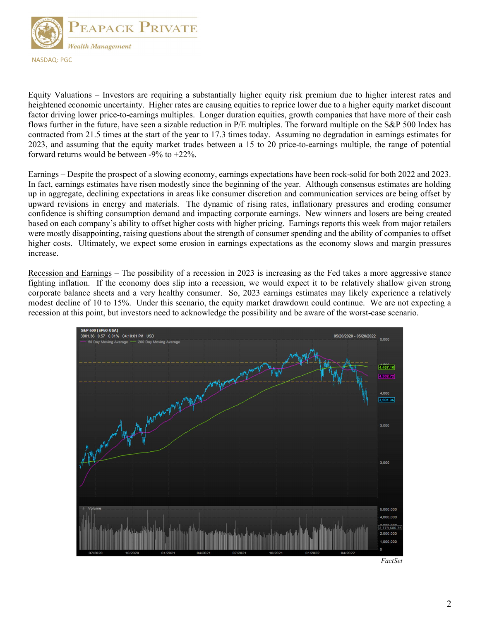

Equity Valuations – Investors are requiring a substantially higher equity risk premium due to higher interest rates and heightened economic uncertainty. Higher rates are causing equities to reprice lower due to a higher equity market discount factor driving lower price-to-earnings multiples. Longer duration equities, growth companies that have more of their cash flows further in the future, have seen a sizable reduction in P/E multiples. The forward multiple on the S&P 500 Index has contracted from 21.5 times at the start of the year to 17.3 times today. Assuming no degradation in earnings estimates for 2023, and assuming that the equity market trades between a 15 to 20 price-to-earnings multiple, the range of potential forward returns would be between -9% to +22%.

Earnings – Despite the prospect of a slowing economy, earnings expectations have been rock-solid for both 2022 and 2023. In fact, earnings estimates have risen modestly since the beginning of the year. Although consensus estimates are holding up in aggregate, declining expectations in areas like consumer discretion and communication services are being offset by upward revisions in energy and materials. The dynamic of rising rates, inflationary pressures and eroding consumer confidence is shifting consumption demand and impacting corporate earnings. New winners and losers are being created based on each company's ability to offset higher costs with higher pricing. Earnings reports this week from major retailers were mostly disappointing, raising questions about the strength of consumer spending and the ability of companies to offset higher costs. Ultimately, we expect some erosion in earnings expectations as the economy slows and margin pressures increase.

Recession and Earnings – The possibility of a recession in 2023 is increasing as the Fed takes a more aggressive stance fighting inflation. If the economy does slip into a recession, we would expect it to be relatively shallow given strong corporate balance sheets and a very healthy consumer. So, 2023 earnings estimates may likely experience a relatively modest decline of 10 to 15%. Under this scenario, the equity market drawdown could continue. We are not expecting a recession at this point, but investors need to acknowledge the possibility and be aware of the worst-case scenario.

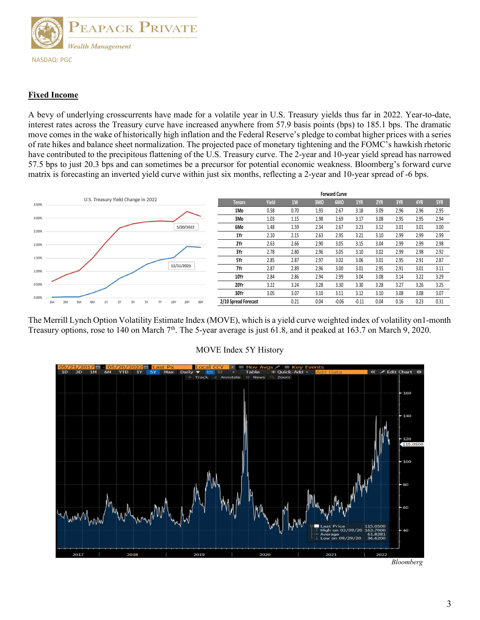

## Fixed Income

A bevy of underlying crosscurrents have made for a volatile year in U.S. Treasury yields thus far in 2022. Year-to-date, interest rates across the Treasury curve have increased anywhere from 57.9 basis points (bps) to 185.1 bps. The dramatic move comes in the wake of historically high inflation and the Federal Reserve's pledge to combat higher prices with a series of rate hikes and balance sheet normalization. The projected pace of monetary tightening and the FOMC's hawkish rhetoric have contributed to the precipitous flattening of the U.S. Treasury curve. The 2-year and 10-year yield spread has narrowed 57.5 bps to just 20.3 bps and can sometimes be a precursor for potential economic weakness. Bloomberg's forward curve matrix is forecasting an inverted yield curve within just six months, reflecting a 2-year and 10-year spread of -6 bps.



The Merrill Lynch Option Volatility Estimate Index (MOVE), which is a yield curve weighted index of volatility on1-month Treasury options, rose to 140 on March  $7<sup>th</sup>$ . The 5-year average is just 61.8, and it peaked at 163.7 on March 9, 2020.



### MOVE Index 5Y History